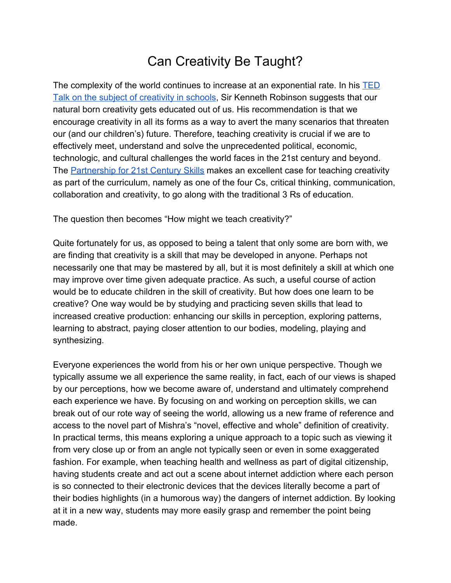## Can Creativity Be Taught?

The complexity of the world continues to increase at an exponential rate. In his [TED](http://www.ted.com/talks/ken_robinson_says_schools_kill_creativity/transcript?language=en) [Talk on the subject of creativity in schools](http://www.ted.com/talks/ken_robinson_says_schools_kill_creativity/transcript?language=en), Sir Kenneth Robinson suggests that our natural born creativity gets educated out of us. His recommendation is that we encourage creativity in all its forms as a way to avert the many scenarios that threaten our (and our children's) future. Therefore, teaching creativity is crucial if we are to effectively meet, understand and solve the unprecedented political, economic, technologic, and cultural challenges the world faces in the 21st century and beyond. The [Partnership for 21st Century Skills](http://www.p21.org/about-us/p21-framework/262) makes an excellent case for teaching creativity as part of the curriculum, namely as one of the four Cs, critical thinking, communication, collaboration and creativity, to go along with the traditional 3 Rs of education.

The question then becomes "How might we teach creativity?"

Quite fortunately for us, as opposed to being a talent that only some are born with, we are finding that creativity is a skill that may be developed in anyone. Perhaps not necessarily one that may be mastered by all, but it is most definitely a skill at which one may improve over time given adequate practice. As such, a useful course of action would be to educate children in the skill of creativity. But how does one learn to be creative? One way would be by studying and practicing seven skills that lead to increased creative production: enhancing our skills in perception, exploring patterns, learning to abstract, paying closer attention to our bodies, modeling, playing and synthesizing.

Everyone experiences the world from his or her own unique perspective. Though we typically assume we all experience the same reality, in fact, each of our views is shaped by our perceptions, how we become aware of, understand and ultimately comprehend each experience we have. By focusing on and working on perception skills, we can break out of our rote way of seeing the world, allowing us a new frame of reference and access to the novel part of Mishra's "novel, effective and whole" definition of creativity. In practical terms, this means exploring a unique approach to a topic such as viewing it from very close up or from an angle not typically seen or even in some exaggerated fashion. For example, when teaching health and wellness as part of digital citizenship, having students create and act out a scene about internet addiction where each person is so connected to their electronic devices that the devices literally become a part of their bodies highlights (in a humorous way) the dangers of internet addiction. By looking at it in a new way, students may more easily grasp and remember the point being made.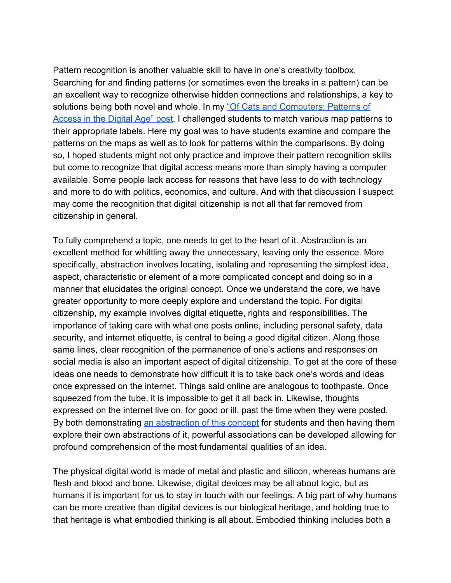Pattern recognition is another valuable skill to have in one's creativity toolbox. Searching for and finding patterns (or sometimes even the breaks in a pattern) can be an excellent way to recognize otherwise hidden connections and relationships, a key to solutions being both novel and whole. In m[y](http://kjburgam.wordpress.com/creativity/cep-818-creativity-in-teaching-and-learning/modules/module-3-patterning/) ["Of Cats and Computers: Patterns of](http://kjburgam.wordpress.com/creativity/cep-818-creativity-in-teaching-and-learning/modules/module-3-patterning/) [Access in the Digital Age" post,](http://kjburgam.wordpress.com/creativity/cep-818-creativity-in-teaching-and-learning/modules/module-3-patterning/) I challenged students to match various map patterns to their appropriate labels. Here my goal was to have students examine and compare the patterns on the maps as well as to look for patterns within the comparisons. By doing so, I hoped students might not only practice and improve their pattern recognition skills but come to recognize that digital access means more than simply having a computer available. Some people lack access for reasons that have less to do with technology and more to do with politics, economics, and culture. And with that discussion I suspect may come the recognition that digital citizenship is not all that far removed from citizenship in general.

To fully comprehend a topic, one needs to get to the heart of it. Abstraction is an excellent method for whittling away the unnecessary, leaving only the essence. More specifically, abstraction involves locating, isolating and representing the simplest idea, aspect, characteristic or element of a more complicated concept and doing so in a manner that elucidates the original concept. Once we understand the core, we have greater opportunity to more deeply explore and understand the topic. For digital citizenship, my example involves digital etiquette, rights and responsibilities. The importance of taking care with what one posts online, including personal safety, data security, and internet etiquette, is central to being a good digital citizen. Along those same lines, clear recognition of the permanence of one's actions and responses on social media is also an important aspect of digital citizenship. To get at the core of these ideas one needs to demonstrate how difficult it is to take back one's words and ideas once expressed on the internet. Things said online are analogous to toothpaste. Once squeezed from the tube, it is impossible to get it all back in. Likewise, thoughts expressed on the internet live on, for good or ill, past the time when they were posted. By both demonstrating [an abstraction of this concept](http://kjburgam.wordpress.com/creativity/cep-818-creativity-in-teaching-and-learning/modules/module-4-abstracting/) for students and then having them explore their own abstractions of it, powerful associations can be developed allowing for profound comprehension of the most fundamental qualities of an idea.

The physical digital world is made of metal and plastic and silicon, whereas humans are flesh and blood and bone. Likewise, digital devices may be all about logic, but as humans it is important for us to stay in touch with our feelings. A big part of why humans can be more creative than digital devices is our biological heritage, and holding true to that heritage is what embodied thinking is all about. Embodied thinking includes both a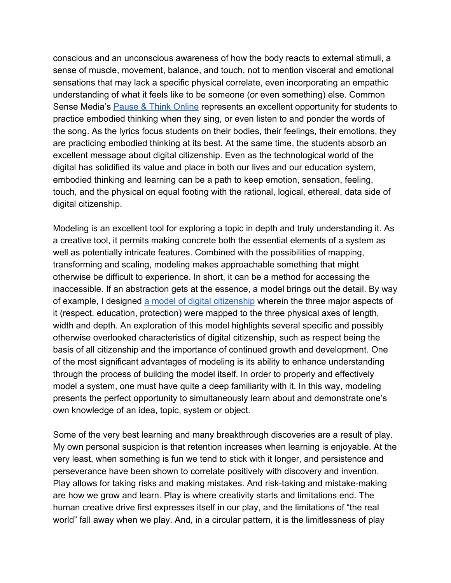conscious and an unconscious awareness of how the body reacts to external stimuli, a sense of muscle, movement, balance, and touch, not to mention visceral and emotional sensations that may lack a specific physical correlate, even incorporating an empathic understanding of what it feels like to be someone (or even something) else. Common Sense Media's [Pause & Think Online](https://www.commonsensemedia.org/videos/pause-think-online) represents an excellent opportunity for students to practice embodied thinking when they sing, or even listen to and ponder the words of the song. As the lyrics focus students on their bodies, their feelings, their emotions, they are practicing embodied thinking at its best. At the same time, the students absorb an excellent message about digital citizenship. Even as the technological world of the digital has solidified its value and place in both our lives and our education system, embodied thinking and learning can be a path to keep emotion, sensation, feeling, touch, and the physical on equal footing with the rational, logical, ethereal, data side of digital citizenship.

Modeling is an excellent tool for exploring a topic in depth and truly understanding it. As a creative tool, it permits making concrete both the essential elements of a system as well as potentially intricate features. Combined with the possibilities of mapping, transforming and scaling, modeling makes approachable something that might otherwise be difficult to experience. In short, it can be a method for accessing the inaccessible. If an abstraction gets at the essence, a model brings out the detail. By way of example, I designed [a model of digital citizenship](http://kjburgam.wordpress.com/creativity/cep-818-creativity-in-teaching-and-learning/modules/module-6-modeling/) wherein the three major aspects of it (respect, education, protection) were mapped to the three physical axes of length, width and depth. An exploration of this model highlights several specific and possibly otherwise overlooked characteristics of digital citizenship, such as respect being the basis of all citizenship and the importance of continued growth and development. One of the most significant advantages of modeling is its ability to enhance understanding through the process of building the model itself. In order to properly and effectively model a system, one must have quite a deep familiarity with it. In this way, modeling presents the perfect opportunity to simultaneously learn about and demonstrate one's own knowledge of an idea, topic, system or object.

Some of the very best learning and many breakthrough discoveries are a result of play. My own personal suspicion is that retention increases when learning is enjoyable. At the very least, when something is fun we tend to stick with it longer, and persistence and perseverance have been shown to correlate positively with discovery and invention. Play allows for taking risks and making mistakes. And risk-taking and mistake-making are how we grow and learn. Play is where creativity starts and limitations end. The human creative drive first expresses itself in our play, and the limitations of "the real world" fall away when we play. And, in a circular pattern, it is the limitlessness of play